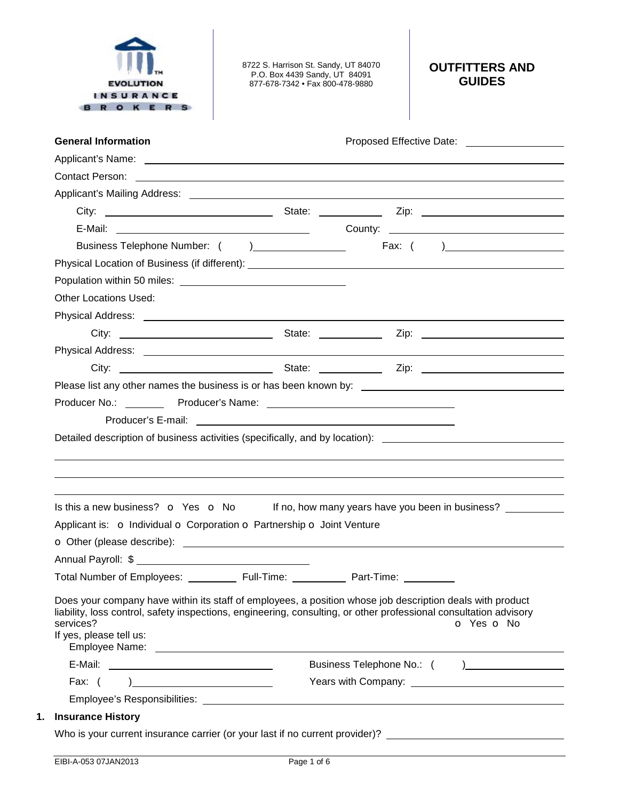

8722 S. Harrison St. Sandy, UT 84070 P.O. Box 4439 Sandy, UT 84091 877-678-7342 • Fax 800-478-9880

## **OUTFITTERS AND GUIDES**

| Contact Person: example, and the contract of the contract of the contract of the contract Person:                                                                                                                                                                      |            |            |                                                           |  |
|------------------------------------------------------------------------------------------------------------------------------------------------------------------------------------------------------------------------------------------------------------------------|------------|------------|-----------------------------------------------------------|--|
|                                                                                                                                                                                                                                                                        |            |            |                                                           |  |
|                                                                                                                                                                                                                                                                        |            |            |                                                           |  |
|                                                                                                                                                                                                                                                                        |            |            |                                                           |  |
|                                                                                                                                                                                                                                                                        |            |            |                                                           |  |
|                                                                                                                                                                                                                                                                        |            |            |                                                           |  |
|                                                                                                                                                                                                                                                                        |            |            |                                                           |  |
| <b>Other Locations Used:</b>                                                                                                                                                                                                                                           |            |            |                                                           |  |
|                                                                                                                                                                                                                                                                        |            |            |                                                           |  |
|                                                                                                                                                                                                                                                                        |            |            |                                                           |  |
|                                                                                                                                                                                                                                                                        |            |            |                                                           |  |
|                                                                                                                                                                                                                                                                        |            |            |                                                           |  |
| Detailed description of business activities (specifically, and by location): ________________________________                                                                                                                                                          |            |            |                                                           |  |
|                                                                                                                                                                                                                                                                        |            |            |                                                           |  |
| Is this a new business? $\bullet$ Yes $\bullet$ No If no, how many years have you been in business?                                                                                                                                                                    |            |            |                                                           |  |
| Applicant is: o Individual o Corporation o Partnership o Joint Venture                                                                                                                                                                                                 |            |            |                                                           |  |
|                                                                                                                                                                                                                                                                        |            |            |                                                           |  |
|                                                                                                                                                                                                                                                                        |            |            |                                                           |  |
| Total Number of Employees:                                                                                                                                                                                                                                             | Full-Time: | Part-Time: |                                                           |  |
| Does your company have within its staff of employees, a position whose job description deals with product<br>liability, loss control, safety inspections, engineering, consulting, or other professional consultation advisory<br>services?<br>If yes, please tell us: |            |            | o Yes o No                                                |  |
|                                                                                                                                                                                                                                                                        |            |            |                                                           |  |
| Fax: $( )$                                                                                                                                                                                                                                                             |            |            | Years with Company: <u>______________________________</u> |  |
|                                                                                                                                                                                                                                                                        |            |            |                                                           |  |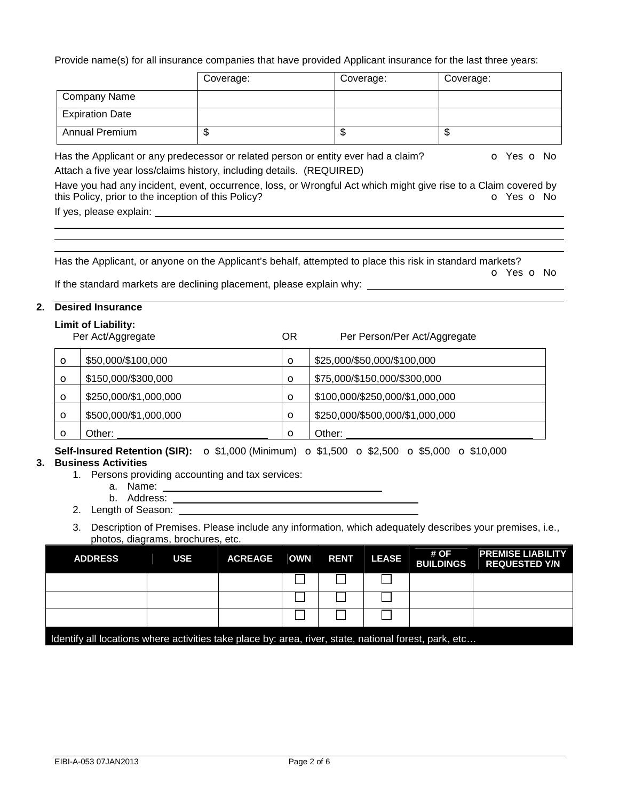Provide name(s) for all insurance companies that have provided Applicant insurance for the last three years:

|                        | Coverage: | Coverage: | Coverage: |
|------------------------|-----------|-----------|-----------|
| <b>Company Name</b>    |           |           |           |
| <b>Expiration Date</b> |           |           |           |
| <b>Annual Premium</b>  | w         | \$        | ѡ         |

Has the Applicant or any predecessor or related person or entity ever had a claim? **o** Yes **o** No Attach a five year loss/claims history, including details. (REQUIRED)

Have you had any incident, event, occurrence, loss, or Wrongful Act which might give rise to a Claim covered by this Policy, prior to the inception of this Policy? **o** Yes **o** No If yes, please explain:

Has the Applicant, or anyone on the Applicant's behalf, attempted to place this risk in standard markets?

 o Yes o No If the standard markets are declining placement, please explain why:

## **2. Desired Insurance**

## **Limit of Liability:**

|          | Per Act/Aggregate     | ΟR      | Per Person/Per Act/Aggregate    |
|----------|-----------------------|---------|---------------------------------|
| $\circ$  | \$50,000/\$100,000    | $\circ$ | \$25,000/\$50,000/\$100,000     |
| $\circ$  | \$150,000/\$300,000   | O       | \$75,000/\$150,000/\$300,000    |
| $\circ$  | \$250,000/\$1,000,000 | O       | \$100,000/\$250,000/\$1,000,000 |
| $\circ$  | \$500,000/\$1,000,000 | $\circ$ | \$250,000/\$500,000/\$1,000,000 |
| $\Omega$ | Other:                | Ω       | Other:                          |

**Self-Insured Retention (SIR):** o \$1,000 (Minimum) o \$1,500 o \$2,500 o \$5,000 o \$10,000 **3. Business Activities** 

- 1. Persons providing accounting and tax services:
	- a. Name:
	- b. Address:
- 2. Length of Season:
- 3. Description of Premises. Please include any information, which adequately describes your premises, i.e., photos, diagrams, brochures, etc.

| <b>ADDRESS</b>                                                                                        | USE | <b>ACREAGE OWN RENT</b> |  |  | <b>LEASE</b> | # OF<br><b>BUILDINGS</b> | <b>PREMISE LIABILITY</b><br><b>REQUESTED Y/N</b> |
|-------------------------------------------------------------------------------------------------------|-----|-------------------------|--|--|--------------|--------------------------|--------------------------------------------------|
|                                                                                                       |     |                         |  |  |              |                          |                                                  |
|                                                                                                       |     |                         |  |  |              |                          |                                                  |
|                                                                                                       |     |                         |  |  |              |                          |                                                  |
| ldentify all locations where activities take place by: area, river, state, national forest, park, etc |     |                         |  |  |              |                          |                                                  |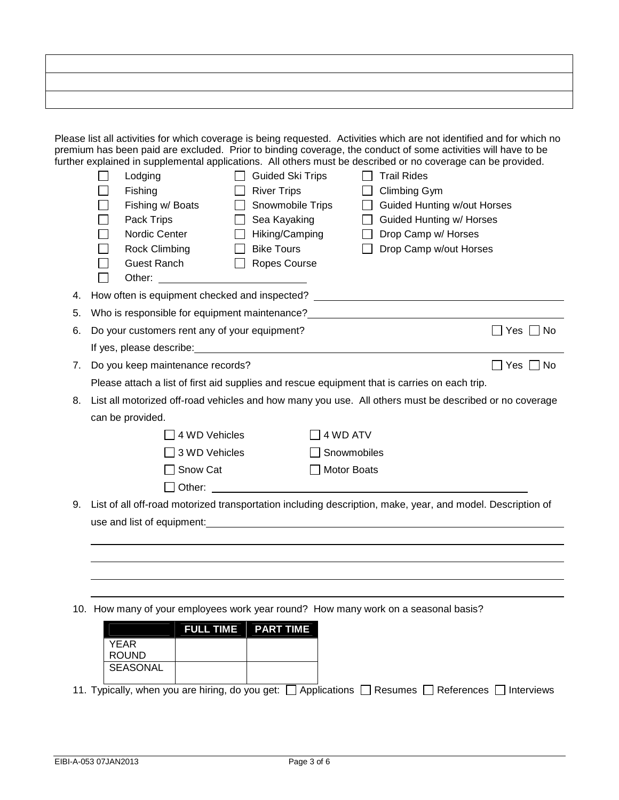| ,我们就会不会不会。""我们,我们就会不会不会,我们就会不会不会,我们就会不会不会。""我们,我们就会不会不会。""我们,我们就会不会不会,我们就会不会不会。"" |  |  |
|-----------------------------------------------------------------------------------|--|--|
| ,我们也不会有什么?""我们的人,我们也不会有什么?""我们的人,我们也不会有什么?""我们的人,我们也不会有什么?""我们的人,我们也不会有什么?""我们的人  |  |  |
|                                                                                   |  |  |

| Please list all activities for which coverage is being requested. Activities which are not identified and for which no |
|------------------------------------------------------------------------------------------------------------------------|
| premium has been paid are excluded. Prior to binding coverage, the conduct of some activities will have to be          |
| further explained in supplemental applications. All others must be described or no coverage can be provided.           |

|    | Lodging                                                                                                                                                                                                                        | <b>Guided Ski Trips</b>           |               | <b>Trail Rides</b>                                                                                                    |                      |
|----|--------------------------------------------------------------------------------------------------------------------------------------------------------------------------------------------------------------------------------|-----------------------------------|---------------|-----------------------------------------------------------------------------------------------------------------------|----------------------|
|    | Fishing                                                                                                                                                                                                                        | <b>River Trips</b>                |               | Climbing Gym                                                                                                          |                      |
|    | Fishing w/ Boats                                                                                                                                                                                                               | Snowmobile Trips                  |               | <b>Guided Hunting w/out Horses</b>                                                                                    |                      |
|    | Pack Trips                                                                                                                                                                                                                     | Sea Kayaking                      |               | Guided Hunting w/ Horses                                                                                              |                      |
|    | Nordic Center                                                                                                                                                                                                                  | Hiking/Camping                    |               | Drop Camp w/ Horses                                                                                                   |                      |
|    | Rock Climbing                                                                                                                                                                                                                  | <b>Bike Tours</b><br>$\mathbf{1}$ |               | Drop Camp w/out Horses                                                                                                |                      |
|    | Guest Ranch                                                                                                                                                                                                                    | Ropes Course<br>$\mathbf{L}$      |               |                                                                                                                       |                      |
|    | Other: and the contract of the contract of the contract of the contract of the contract of the contract of the contract of the contract of the contract of the contract of the contract of the contract of the contract of the |                                   |               |                                                                                                                       |                      |
| 4. |                                                                                                                                                                                                                                |                                   |               | How often is equipment checked and inspected? __________________________________                                      |                      |
| 5. |                                                                                                                                                                                                                                |                                   |               |                                                                                                                       |                      |
| 6. | Do your customers rent any of your equipment?                                                                                                                                                                                  |                                   |               |                                                                                                                       | $\Box$ Yes $\Box$ No |
|    | If yes, please describe: expression of the state of the state of the state of the state of the state of the state of the state of the state of the state of the state of the state of the state of the state of the state of t |                                   |               |                                                                                                                       |                      |
| 7. | Do you keep maintenance records?                                                                                                                                                                                               |                                   |               |                                                                                                                       | $\Box$ Yes $\Box$ No |
|    |                                                                                                                                                                                                                                |                                   |               | Please attach a list of first aid supplies and rescue equipment that is carries on each trip.                         |                      |
| 8. |                                                                                                                                                                                                                                |                                   |               | List all motorized off-road vehicles and how many you use. All others must be described or no coverage                |                      |
|    | can be provided.                                                                                                                                                                                                               |                                   |               |                                                                                                                       |                      |
|    | 4 WD Vehicles                                                                                                                                                                                                                  |                                   | 4 WD ATV      |                                                                                                                       |                      |
|    | $\Box$ 3 WD Vehicles                                                                                                                                                                                                           |                                   | Snowmobiles   |                                                                                                                       |                      |
|    | $\Box$ Snow Cat                                                                                                                                                                                                                |                                   | □ Motor Boats |                                                                                                                       |                      |
|    | $\Box$ Other:                                                                                                                                                                                                                  |                                   |               | <u> 1989 - Johann Harry Harry Harry Harry Harry Harry Harry Harry Harry Harry Harry Harry Harry Harry Harry Harry</u> |                      |
| 9. |                                                                                                                                                                                                                                |                                   |               | List of all off-road motorized transportation including description, make, year, and model. Description of            |                      |
|    |                                                                                                                                                                                                                                |                                   |               |                                                                                                                       |                      |
|    |                                                                                                                                                                                                                                |                                   |               |                                                                                                                       |                      |
|    |                                                                                                                                                                                                                                |                                   |               |                                                                                                                       |                      |
|    |                                                                                                                                                                                                                                |                                   |               |                                                                                                                       |                      |
|    |                                                                                                                                                                                                                                |                                   |               |                                                                                                                       |                      |
|    |                                                                                                                                                                                                                                |                                   |               | 10. How many of your employees work year round? How many work on a seasonal basis?                                    |                      |
|    |                                                                                                                                                                                                                                |                                   |               |                                                                                                                       |                      |

| <b>FULL TIME PART TIME</b> |
|----------------------------|
|                            |
|                            |
|                            |
|                            |
|                            |

11. Typically, when you are hiring, do you get:  $\Box$  Applications  $\Box$  Resumes  $\Box$  References  $\Box$  Interviews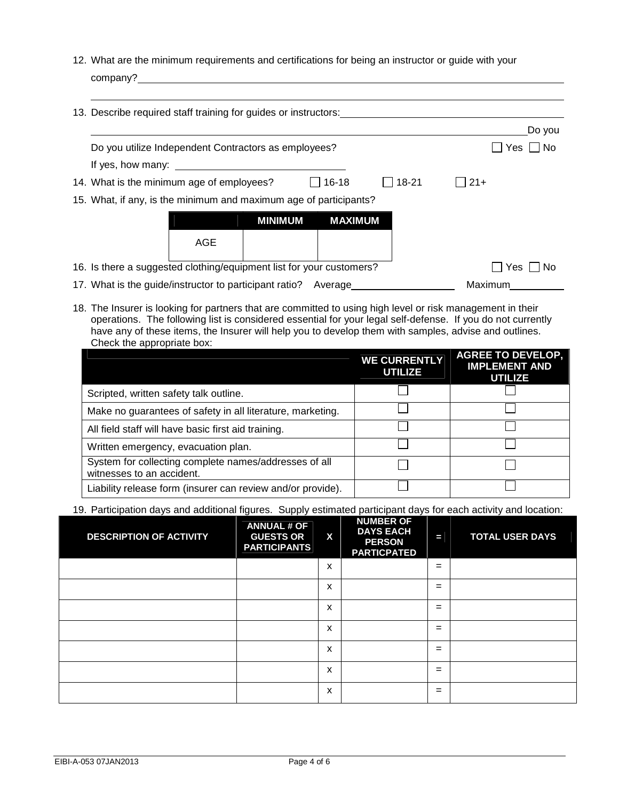12. What are the minimum requirements and certifications for being an instructor or guide with your company?

| 13. Describe required staff training for guides or instructors:                                                                                                                                                                |                |                |       |             |
|--------------------------------------------------------------------------------------------------------------------------------------------------------------------------------------------------------------------------------|----------------|----------------|-------|-------------|
|                                                                                                                                                                                                                                |                |                |       | Do you      |
| Do you utilize Independent Contractors as employees?                                                                                                                                                                           |                |                |       | No<br>Yes I |
| If yes, how many: If yes are not all the set of the set of the set of the set of the set of the set of the set of the set of the set of the set of the set of the set of the set of the set of the set of the set of the set o |                |                |       |             |
| 14. What is the minimum age of employees?                                                                                                                                                                                      |                | $16 - 18$      | 18-21 | $21+$       |
| 15. What, if any, is the minimum and maximum age of participants?                                                                                                                                                              |                |                |       |             |
|                                                                                                                                                                                                                                | <b>MINIMUM</b> | <b>MAXIMUM</b> |       |             |
| AGE                                                                                                                                                                                                                            |                |                |       |             |
| 16. Is there a suggested clothing/equipment list for your customers?                                                                                                                                                           |                |                |       | Yes<br>No   |
| 17. What is the guide/instructor to participant ratio? Average                                                                                                                                                                 |                |                |       | Maximum     |

18. The Insurer is looking for partners that are committed to using high level or risk management in their operations. The following list is considered essential for your legal self-defense. If you do not currently have any of these items, the Insurer will help you to develop them with samples, advise and outlines. Check the appropriate box:

|                                                                                    | <b>WE CURRENTLY</b><br><b>UTILIZE</b> | <b>AGREE TO DEVELOP,</b><br><b>IMPLEMENT AND</b><br><b>UTILIZE</b> |
|------------------------------------------------------------------------------------|---------------------------------------|--------------------------------------------------------------------|
| Scripted, written safety talk outline.                                             |                                       |                                                                    |
| Make no guarantees of safety in all literature, marketing.                         |                                       |                                                                    |
| All field staff will have basic first aid training.                                |                                       |                                                                    |
| Written emergency, evacuation plan.                                                |                                       |                                                                    |
| System for collecting complete names/addresses of all<br>witnesses to an accident. |                                       |                                                                    |
| Liability release form (insurer can review and/or provide).                        |                                       |                                                                    |

19. Participation days and additional figures. Supply estimated participant days for each activity and location:

| <b>DESCRIPTION OF ACTIVITY</b> | <b>ANNUAL # OF</b><br><b>GUESTS OR</b><br><b>PARTICIPANTS</b> | $\mathbf{x}$ | <b>NUMBER OF</b><br><b>DAYS EACH</b><br><b>PERSON</b><br><b>PARTICPATED</b> | Е   | <b>TOTAL USER DAYS</b> |
|--------------------------------|---------------------------------------------------------------|--------------|-----------------------------------------------------------------------------|-----|------------------------|
|                                |                                                               | X            |                                                                             | $=$ |                        |
|                                |                                                               | X            |                                                                             | $=$ |                        |
|                                |                                                               | X            |                                                                             | $=$ |                        |
|                                |                                                               | x            |                                                                             | $=$ |                        |
|                                |                                                               | x            |                                                                             | $=$ |                        |
|                                |                                                               | x            |                                                                             | $=$ |                        |
|                                |                                                               | X            |                                                                             | $=$ |                        |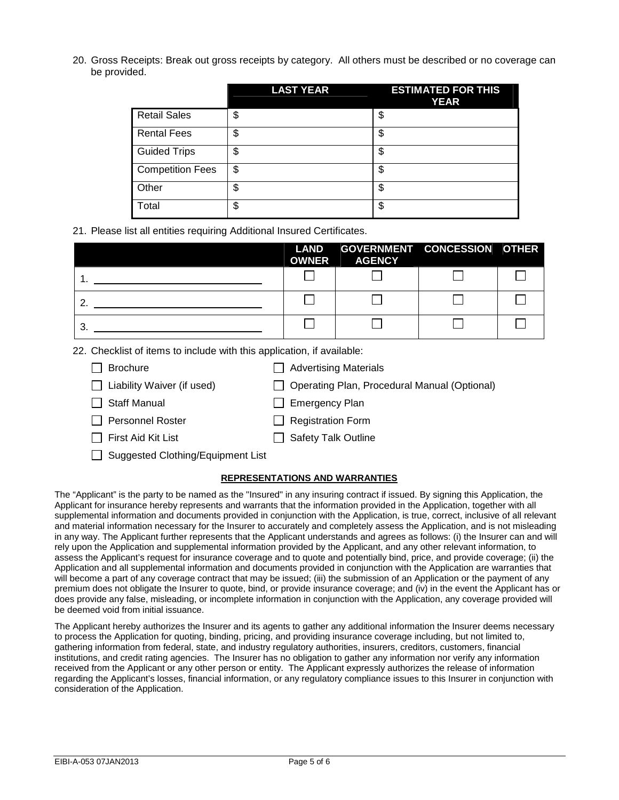20. Gross Receipts: Break out gross receipts by category. All others must be described or no coverage can be provided.

|                         | <b>LAST YEAR</b> | <b>ESTIMATED FOR THIS</b><br><b>YEAR</b> |
|-------------------------|------------------|------------------------------------------|
| <b>Retail Sales</b>     | \$               | \$                                       |
| <b>Rental Fees</b>      | \$               | \$                                       |
| <b>Guided Trips</b>     | \$               | \$                                       |
| <b>Competition Fees</b> | \$               | \$                                       |
| Other                   | \$               | \$                                       |
| Total                   | \$               | \$                                       |

21. Please list all entities requiring Additional Insured Certificates.

|   | <b>LAND</b><br><b>OWNER</b> | GOVERNMENT CONCESSION OTHER<br><b>AGENCY</b> |  |
|---|-----------------------------|----------------------------------------------|--|
|   |                             |                                              |  |
|   |                             |                                              |  |
| Ő |                             |                                              |  |

22. Checklist of items to include with this application, if available:

| $\Box$ Brochure                   | Advertising Materials                          |
|-----------------------------------|------------------------------------------------|
| $\Box$ Liability Waiver (if used) | □ Operating Plan, Procedural Manual (Optional) |
| $\Box$ Staff Manual               | $\Box$ Emergency Plan                          |
| Personnel Roster                  | $\Box$ Registration Form                       |
| $\Box$ First Aid Kit List         | $\Box$ Safety Talk Outline                     |
|                                   |                                                |

□ Suggested Clothing/Equipment List

## **REPRESENTATIONS AND WARRANTIES**

The "Applicant" is the party to be named as the "Insured" in any insuring contract if issued. By signing this Application, the Applicant for insurance hereby represents and warrants that the information provided in the Application, together with all supplemental information and documents provided in conjunction with the Application, is true, correct, inclusive of all relevant and material information necessary for the Insurer to accurately and completely assess the Application, and is not misleading in any way. The Applicant further represents that the Applicant understands and agrees as follows: (i) the Insurer can and will rely upon the Application and supplemental information provided by the Applicant, and any other relevant information, to assess the Applicant's request for insurance coverage and to quote and potentially bind, price, and provide coverage; (ii) the Application and all supplemental information and documents provided in conjunction with the Application are warranties that will become a part of any coverage contract that may be issued; (iii) the submission of an Application or the payment of any premium does not obligate the Insurer to quote, bind, or provide insurance coverage; and (iv) in the event the Applicant has or does provide any false, misleading, or incomplete information in conjunction with the Application, any coverage provided will be deemed void from initial issuance.

The Applicant hereby authorizes the Insurer and its agents to gather any additional information the Insurer deems necessary to process the Application for quoting, binding, pricing, and providing insurance coverage including, but not limited to, gathering information from federal, state, and industry regulatory authorities, insurers, creditors, customers, financial institutions, and credit rating agencies. The Insurer has no obligation to gather any information nor verify any information received from the Applicant or any other person or entity. The Applicant expressly authorizes the release of information regarding the Applicant's losses, financial information, or any regulatory compliance issues to this Insurer in conjunction with consideration of the Application.